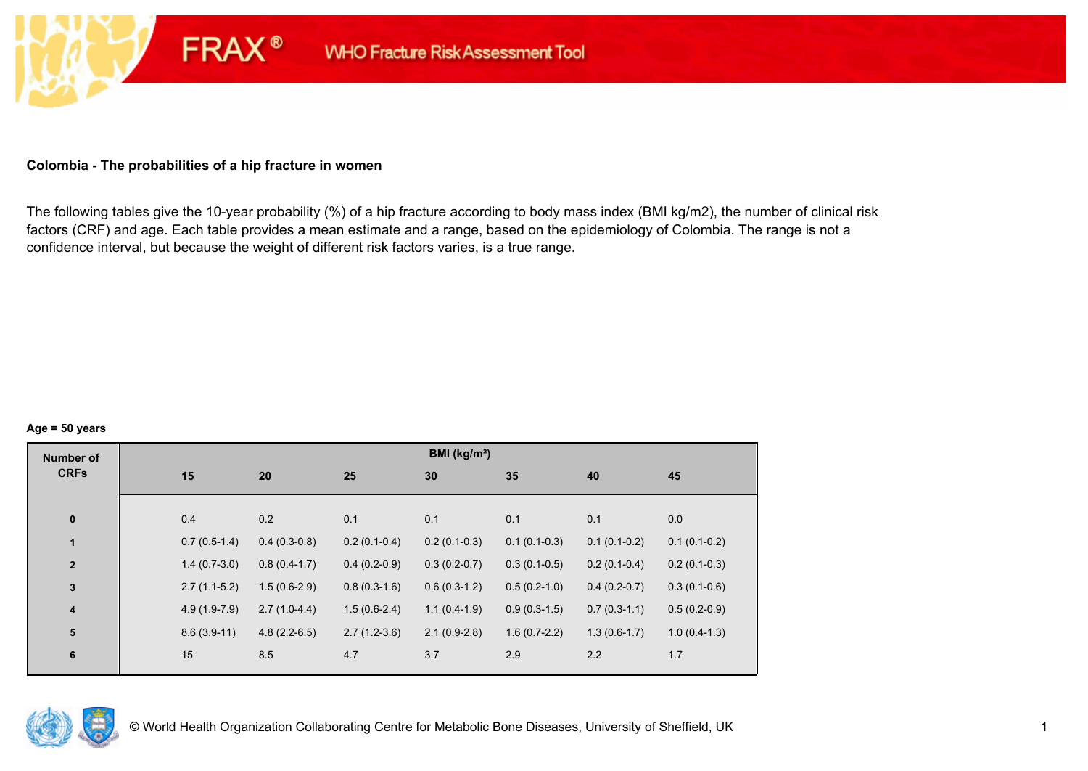#### **Colombia - The probabilities of a hip fracture in women**

**FRAX®** 

The following tables give the 10-year probability (%) of a hip fracture according to body mass index (BMI kg/m2), the number of clinical risk factors (CRF) and age. Each table provides a mean estimate and a range, based on the epidemiology of Colombia. The range is not a confidence interval, but because the weight of different risk factors varies, is a true range.

#### **Age = 50 years**

| <b>Number of</b> |                |                |                | BMI (kg/m <sup>2</sup> ) |                |                |                |
|------------------|----------------|----------------|----------------|--------------------------|----------------|----------------|----------------|
| <b>CRFs</b>      | 15             | 20             | 25             | 30                       | 35             | 40             | 45             |
|                  |                |                |                |                          |                |                |                |
| $\pmb{0}$        | 0.4            | 0.2            | 0.1            | 0.1                      | 0.1            | 0.1            | 0.0            |
| $\mathbf{1}$     | $0.7(0.5-1.4)$ | $0.4(0.3-0.8)$ | $0.2(0.1-0.4)$ | $0.2(0.1-0.3)$           | $0.1(0.1-0.3)$ | $0.1(0.1-0.2)$ | $0.1(0.1-0.2)$ |
| $\mathbf{2}$     | $1.4(0.7-3.0)$ | $0.8(0.4-1.7)$ | $0.4(0.2-0.9)$ | $0.3(0.2-0.7)$           | $0.3(0.1-0.5)$ | $0.2(0.1-0.4)$ | $0.2(0.1-0.3)$ |
| $\mathbf 3$      | $2.7(1.1-5.2)$ | $1.5(0.6-2.9)$ | $0.8(0.3-1.6)$ | $0.6(0.3-1.2)$           | $0.5(0.2-1.0)$ | $0.4(0.2-0.7)$ | $0.3(0.1-0.6)$ |
| 4                | $4.9(1.9-7.9)$ | $2.7(1.0-4.4)$ | $1.5(0.6-2.4)$ | $1.1(0.4-1.9)$           | $0.9(0.3-1.5)$ | $0.7(0.3-1.1)$ | $0.5(0.2-0.9)$ |
| 5                | $8.6(3.9-11)$  | $4.8(2.2-6.5)$ | $2.7(1.2-3.6)$ | $2.1(0.9-2.8)$           | $1.6(0.7-2.2)$ | $1.3(0.6-1.7)$ | $1.0(0.4-1.3)$ |
| 6                | 15             | 8.5            | 4.7            | 3.7                      | 2.9            | 2.2            | 1.7            |
|                  |                |                |                |                          |                |                |                |

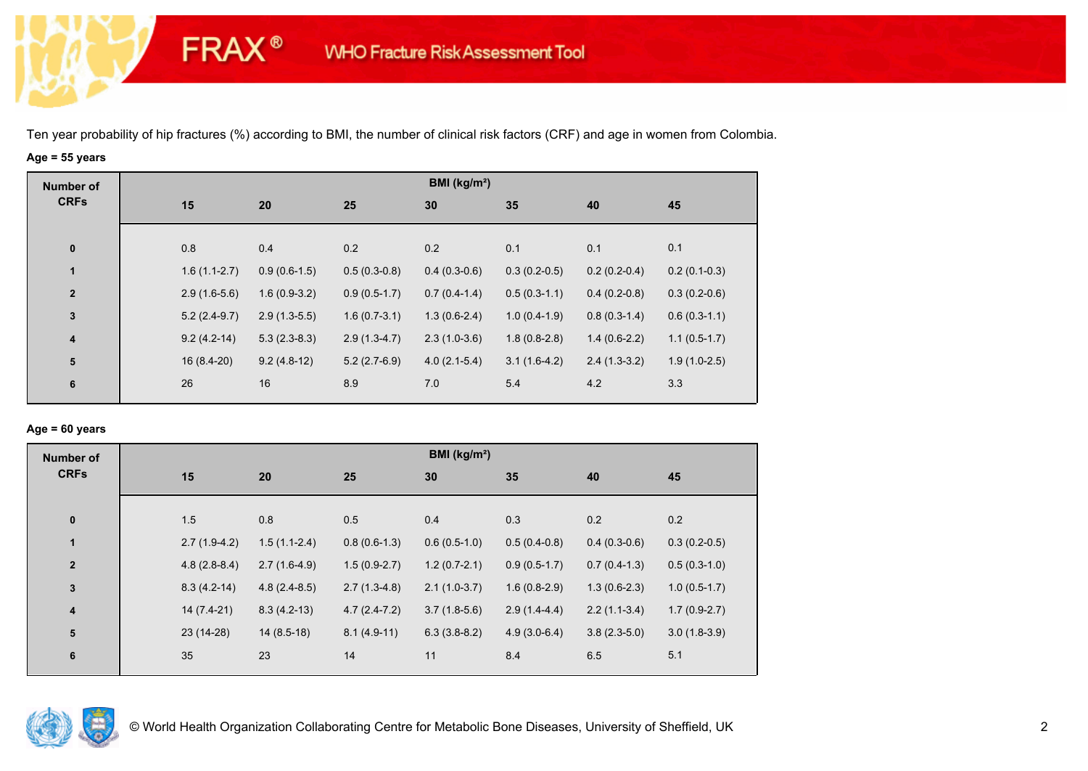**FRAX®** 

# **Age = 55 years**

| <b>Number of</b> |                |                |                | BMI ( $kg/m2$ ) |                |                |                |
|------------------|----------------|----------------|----------------|-----------------|----------------|----------------|----------------|
| <b>CRFs</b>      | 15             | 20             | 25             | 30              | 35             | 40             | 45             |
|                  |                |                |                |                 |                |                |                |
| $\bf{0}$         | 0.8            | 0.4            | 0.2            | 0.2             | 0.1            | 0.1            | 0.1            |
| $\mathbf{1}$     | $1.6(1.1-2.7)$ | $0.9(0.6-1.5)$ | $0.5(0.3-0.8)$ | $0.4(0.3-0.6)$  | $0.3(0.2-0.5)$ | $0.2(0.2-0.4)$ | $0.2(0.1-0.3)$ |
| $\mathbf{2}$     | $2.9(1.6-5.6)$ | $1.6(0.9-3.2)$ | $0.9(0.5-1.7)$ | $0.7(0.4-1.4)$  | $0.5(0.3-1.1)$ | $0.4(0.2-0.8)$ | $0.3(0.2-0.6)$ |
| $\mathbf 3$      | $5.2(2.4-9.7)$ | $2.9(1.3-5.5)$ | $1.6(0.7-3.1)$ | $1.3(0.6-2.4)$  | $1.0(0.4-1.9)$ | $0.8(0.3-1.4)$ | $0.6(0.3-1.1)$ |
| $\boldsymbol{4}$ | $9.2(4.2-14)$  | $5.3(2.3-8.3)$ | $2.9(1.3-4.7)$ | $2.3(1.0-3.6)$  | $1.8(0.8-2.8)$ | $1.4(0.6-2.2)$ | $1.1(0.5-1.7)$ |
| ${\bf 5}$        | $16(8.4-20)$   | $9.2(4.8-12)$  | $5.2(2.7-6.9)$ | $4.0(2.1-5.4)$  | $3.1(1.6-4.2)$ | $2.4(1.3-3.2)$ | $1.9(1.0-2.5)$ |
| 6                | 26             | 16             | 8.9            | 7.0             | 5.4            | 4.2            | 3.3            |

#### **Age = 60 years**

| <b>Number of</b>        |            |                                  |                | BMI ( $kg/m2$ ) |                |                |                |
|-------------------------|------------|----------------------------------|----------------|-----------------|----------------|----------------|----------------|
| <b>CRFs</b>             | 15         | 20                               | 25             | 30              | 35             | 40             | 45             |
|                         |            |                                  |                |                 |                |                |                |
| $\bf{0}$                | 1.5        | 0.8                              | 0.5            | 0.4             | 0.3            | 0.2            | 0.2            |
| $\mathbf{1}$            |            | $1.5(1.1-2.4)$<br>$2.7(1.9-4.2)$ | $0.8(0.6-1.3)$ | $0.6(0.5-1.0)$  | $0.5(0.4-0.8)$ | $0.4(0.3-0.6)$ | $0.3(0.2-0.5)$ |
| $\overline{2}$          |            | $2.7(1.6-4.9)$<br>$4.8(2.8-8.4)$ | $1.5(0.9-2.7)$ | $1.2(0.7-2.1)$  | $0.9(0.5-1.7)$ | $0.7(0.4-1.3)$ | $0.5(0.3-1.0)$ |
| $\mathbf{3}$            |            | $8.3(4.2-14)$<br>$4.8(2.4-8.5)$  | $2.7(1.3-4.8)$ | $2.1(1.0-3.7)$  | $1.6(0.8-2.9)$ | $1.3(0.6-2.3)$ | $1.0(0.5-1.7)$ |
| $\overline{\mathbf{4}}$ |            | 14 (7.4-21)<br>$8.3(4.2-13)$     | $4.7(2.4-7.2)$ | $3.7(1.8-5.6)$  | $2.9(1.4-4.4)$ | $2.2(1.1-3.4)$ | $1.7(0.9-2.7)$ |
| 5                       | 23 (14-28) | $14(8.5-18)$                     | $8.1(4.9-11)$  | $6.3(3.8-8.2)$  | $4.9(3.0-6.4)$ | $3.8(2.3-5.0)$ | $3.0(1.8-3.9)$ |
| 6                       | 35         | 23                               | 14             | 11              | 8.4            | 6.5            | 5.1            |
|                         |            |                                  |                |                 |                |                |                |

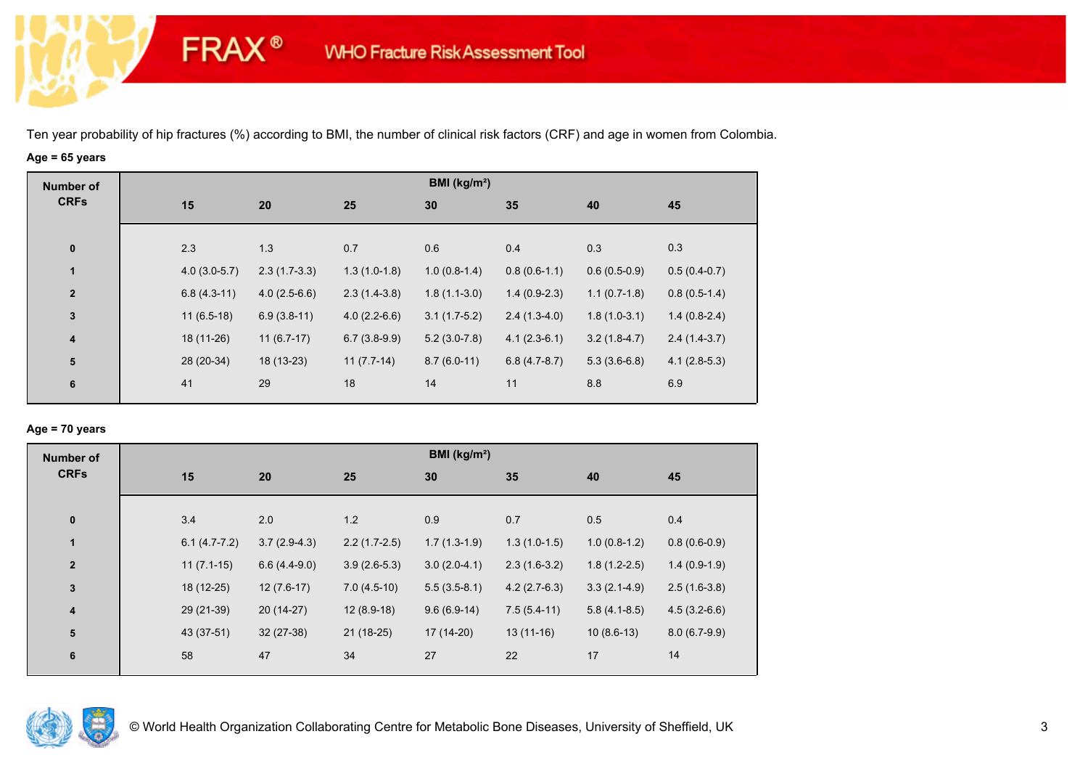**FRAX®** 

# **Age = 65 years**

| <b>Number of</b> |                |                |                | BMI (kg/m <sup>2</sup> ) |                |                |                |
|------------------|----------------|----------------|----------------|--------------------------|----------------|----------------|----------------|
| <b>CRFs</b>      | 15             | 20             | 25             | 30                       | 35             | 40             | 45             |
|                  |                |                |                |                          |                |                |                |
| $\pmb{0}$        | 2.3            | 1.3            | 0.7            | 0.6                      | 0.4            | 0.3            | 0.3            |
| $\mathbf{1}$     | $4.0(3.0-5.7)$ | $2.3(1.7-3.3)$ | $1.3(1.0-1.8)$ | $1.0(0.8-1.4)$           | $0.8(0.6-1.1)$ | $0.6(0.5-0.9)$ | $0.5(0.4-0.7)$ |
| $\overline{2}$   | $6.8(4.3-11)$  | $4.0(2.5-6.6)$ | $2.3(1.4-3.8)$ | $1.8(1.1-3.0)$           | $1.4(0.9-2.3)$ | $1.1(0.7-1.8)$ | $0.8(0.5-1.4)$ |
| $\mathbf{3}$     | $11(6.5-18)$   | $6.9(3.8-11)$  | $4.0(2.2-6.6)$ | $3.1(1.7-5.2)$           | $2.4(1.3-4.0)$ | $1.8(1.0-3.1)$ | $1.4(0.8-2.4)$ |
| $\boldsymbol{4}$ | 18 (11-26)     | $11(6.7-17)$   | $6.7(3.8-9.9)$ | $5.2(3.0-7.8)$           | $4.1(2.3-6.1)$ | $3.2(1.8-4.7)$ | $2.4(1.4-3.7)$ |
| 5                | 28 (20-34)     | 18 (13-23)     | $11(7.7-14)$   | $8.7(6.0-11)$            | $6.8(4.7-8.7)$ | $5.3(3.6-6.8)$ | $4.1(2.8-5.3)$ |
| 6                | 41             | 29             | 18             | 14                       | 11             | 8.8            | 6.9            |
|                  |                |                |                |                          |                |                |                |

## **Age = 70 years**

| <b>Number of</b> |                |                |                | BMI (kg/m <sup>2</sup> ) |                |                |                |
|------------------|----------------|----------------|----------------|--------------------------|----------------|----------------|----------------|
| <b>CRFs</b>      | 15             | 20             | 25             | 30                       | 35             | 40             | 45             |
|                  |                |                |                |                          |                |                |                |
| $\pmb{0}$        | 3.4            | 2.0            | 1.2            | 0.9                      | 0.7            | 0.5            | 0.4            |
| $\mathbf{1}$     | $6.1(4.7-7.2)$ | $3.7(2.9-4.3)$ | $2.2(1.7-2.5)$ | $1.7(1.3-1.9)$           | $1.3(1.0-1.5)$ | $1.0(0.8-1.2)$ | $0.8(0.6-0.9)$ |
| $\mathbf{2}$     | $11(7.1-15)$   | $6.6(4.4-9.0)$ | $3.9(2.6-5.3)$ | $3.0(2.0-4.1)$           | $2.3(1.6-3.2)$ | $1.8(1.2-2.5)$ | $1.4(0.9-1.9)$ |
| 3                | 18 (12-25)     | $12(7.6-17)$   | $7.0(4.5-10)$  | $5.5(3.5-8.1)$           | $4.2(2.7-6.3)$ | $3.3(2.1-4.9)$ | $2.5(1.6-3.8)$ |
| 4                | 29 (21-39)     | $20(14-27)$    | $12(8.9-18)$   | $9.6(6.9-14)$            | $7.5(5.4-11)$  | $5.8(4.1-8.5)$ | $4.5(3.2-6.6)$ |
| 5                | 43 (37-51)     | $32(27-38)$    | $21(18-25)$    | 17 (14-20)               | $13(11-16)$    | $10(8.6-13)$   | $8.0(6.7-9.9)$ |
| 6                | 58             | 47             | 34             | 27                       | 22             | 17             | 14             |

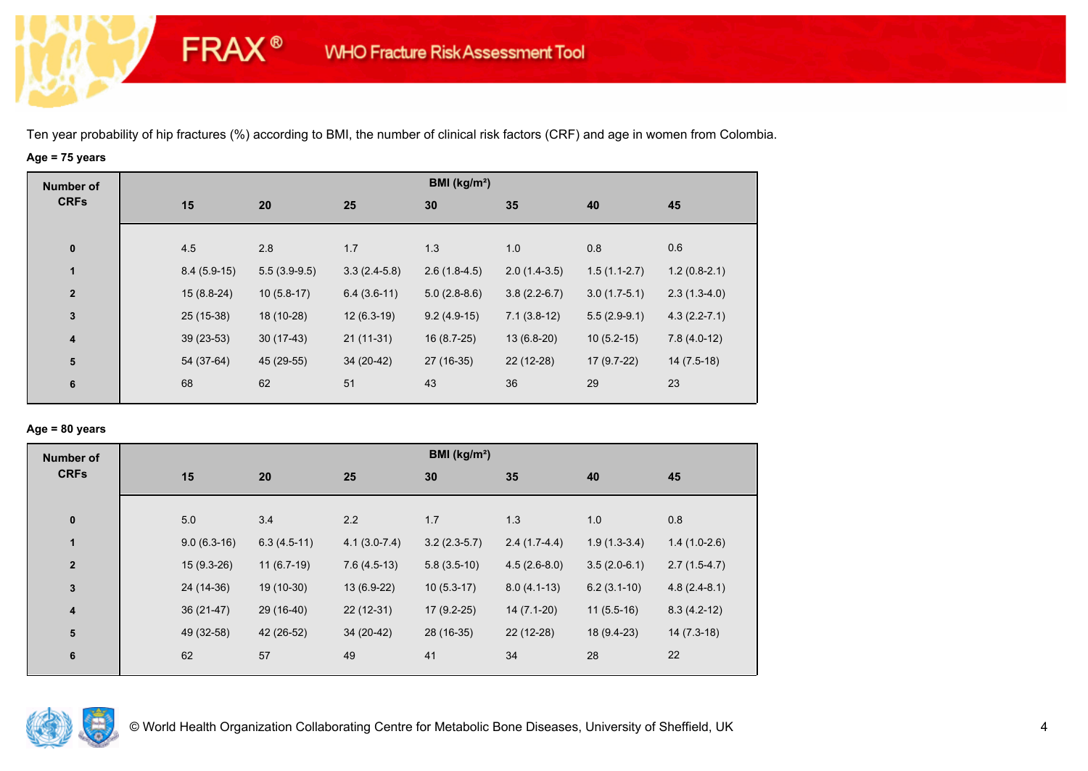**FRAX®** 

# **Age = 75 years**

| <b>Number of</b> |     |               |                |                | BMI ( $kg/m2$ ) |                |                |                  |
|------------------|-----|---------------|----------------|----------------|-----------------|----------------|----------------|------------------|
| <b>CRFs</b>      | 15  |               | 20             | 25             | 30              | 35             | 40             | 45               |
|                  |     |               |                |                |                 |                |                |                  |
| $\bf{0}$         | 4.5 |               | 2.8            | 1.7            | 1.3             | 1.0            | 0.8            | 0.6              |
| $\mathbf{1}$     |     | $8.4(5.9-15)$ | $5.5(3.9-9.5)$ | $3.3(2.4-5.8)$ | $2.6(1.8-4.5)$  | $2.0(1.4-3.5)$ | $1.5(1.1-2.7)$ | $1.2(0.8-2.1)$   |
| $\mathbf{2}$     |     | $15(8.8-24)$  | $10(5.8-17)$   | $6.4(3.6-11)$  | $5.0(2.8-8.6)$  | $3.8(2.2-6.7)$ | $3.0(1.7-5.1)$ | $2.3(1.3-4.0)$   |
| $\mathbf 3$      |     | 25 (15-38)    | 18 (10-28)     | $12(6.3-19)$   | $9.2(4.9-15)$   | $7.1(3.8-12)$  | $5.5(2.9-9.1)$ | $4.3(2.2 - 7.1)$ |
| $\overline{4}$   |     | $39(23-53)$   | $30(17-43)$    | $21(11-31)$    | 16 (8.7-25)     | $13(6.8-20)$   | $10(5.2-15)$   | $7.8(4.0-12)$    |
| ${\bf 5}$        |     | 54 (37-64)    | 45 (29-55)     | $34(20-42)$    | 27 (16-35)      | 22 (12-28)     | $17(9.7-22)$   | $14(7.5-18)$     |
| 6                | 68  |               | 62             | 51             | 43              | 36             | 29             | 23               |
|                  |     |               |                |                |                 |                |                |                  |

## **Age = 80 years**

| <b>Number of</b>        |               |               |                | BMI (kg/m <sup>2</sup> ) |                |                |                |
|-------------------------|---------------|---------------|----------------|--------------------------|----------------|----------------|----------------|
| <b>CRFs</b>             | 15            | 20            | 25             | 30                       | 35             | 40             | 45             |
|                         |               |               |                |                          |                |                |                |
| $\pmb{0}$               | 5.0           | 3.4           | 2.2            | 1.7                      | 1.3            | 1.0            | 0.8            |
| $\blacksquare$          | $9.0(6.3-16)$ | $6.3(4.5-11)$ | $4.1(3.0-7.4)$ | $3.2(2.3-5.7)$           | $2.4(1.7-4.4)$ | $1.9(1.3-3.4)$ | $1.4(1.0-2.6)$ |
| $\overline{2}$          | $15(9.3-26)$  | $11(6.7-19)$  | $7.6(4.5-13)$  | $5.8(3.5-10)$            | $4.5(2.6-8.0)$ | $3.5(2.0-6.1)$ | $2.7(1.5-4.7)$ |
| $\mathbf 3$             | 24 (14-36)    | 19 (10-30)    | 13 (6.9-22)    | $10(5.3-17)$             | $8.0(4.1-13)$  | $6.2(3.1-10)$  | $4.8(2.4-8.1)$ |
| $\overline{\mathbf{4}}$ | $36(21-47)$   | 29 (16-40)    | $22(12-31)$    | $17(9.2-25)$             | $14(7.1-20)$   | $11(5.5-16)$   | $8.3(4.2-12)$  |
| ${\bf 5}$               | 49 (32-58)    | 42 (26-52)    | 34 (20-42)     | 28 (16-35)               | $22(12-28)$    | 18 (9.4-23)    | $14(7.3-18)$   |
| $\boldsymbol{6}$        | 62            | 57            | 49             | 41                       | 34             | 28             | 22             |
|                         |               |               |                |                          |                |                |                |